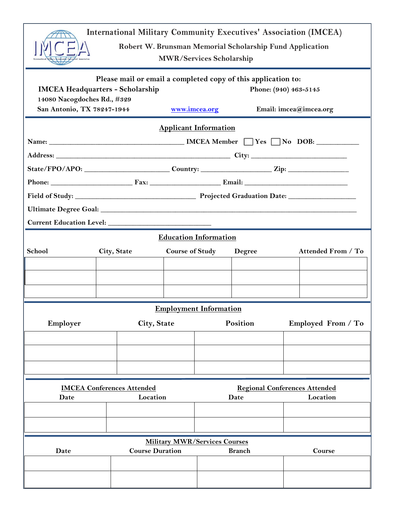| <b>International Military Community Executives' Association (IMCEA)</b><br>Robert W. Brunsman Memorial Scholarship Fund Application<br><b>MWR/Services Scholarship</b>                                                                    |                                                                                                      |             |                        |          |        |  |                                                  |  |  |  |  |
|-------------------------------------------------------------------------------------------------------------------------------------------------------------------------------------------------------------------------------------------|------------------------------------------------------------------------------------------------------|-------------|------------------------|----------|--------|--|--------------------------------------------------|--|--|--|--|
| Please mail or email a completed copy of this application to:<br><b>IMCEA Headquarters - Scholarship</b><br>Phone: (940) 463-5145<br>14080 Nacogdoches Rd., #329<br>San Antonio, TX 78247-1944<br>www.imcea.org<br>Email: imcea@imcea.org |                                                                                                      |             |                        |          |        |  |                                                  |  |  |  |  |
| <b>Applicant Information</b>                                                                                                                                                                                                              |                                                                                                      |             |                        |          |        |  |                                                  |  |  |  |  |
|                                                                                                                                                                                                                                           | State/FPO/APO: ____________________________Country: ______________________Zip: _____________________ |             |                        |          |        |  |                                                  |  |  |  |  |
| Current Education Level:<br><b>Education Information</b>                                                                                                                                                                                  |                                                                                                      |             |                        |          |        |  |                                                  |  |  |  |  |
| School                                                                                                                                                                                                                                    | City, State                                                                                          |             | <b>Course of Study</b> |          | Degree |  | Attended From / To                               |  |  |  |  |
|                                                                                                                                                                                                                                           | <b>Employment Information</b>                                                                        |             |                        |          |        |  |                                                  |  |  |  |  |
| Employer                                                                                                                                                                                                                                  |                                                                                                      | City, State |                        | Position |        |  | Employed From / To                               |  |  |  |  |
|                                                                                                                                                                                                                                           |                                                                                                      |             |                        |          |        |  |                                                  |  |  |  |  |
| <b>IMCEA Conferences Attended</b><br>Date                                                                                                                                                                                                 |                                                                                                      |             | Location               |          | Date   |  | <b>Regional Conferences Attended</b><br>Location |  |  |  |  |
| <b>Military MWR/Services Courses</b><br><b>Course Duration</b><br>Date<br><b>Branch</b><br>Course                                                                                                                                         |                                                                                                      |             |                        |          |        |  |                                                  |  |  |  |  |